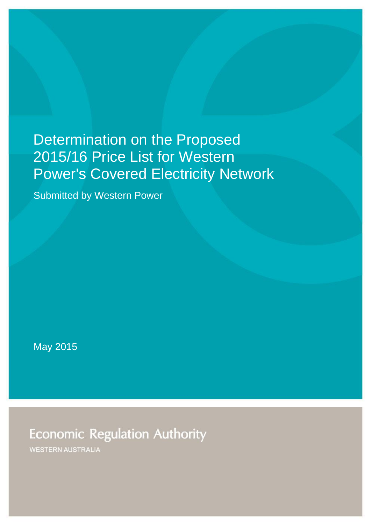# Determination on the Proposed 2015/16 Price List for Western Power's Covered Electricity Network

Submitted by Western Power

May 2015

**Economic Regulation Authority** 

**WESTERN AUSTRALIA**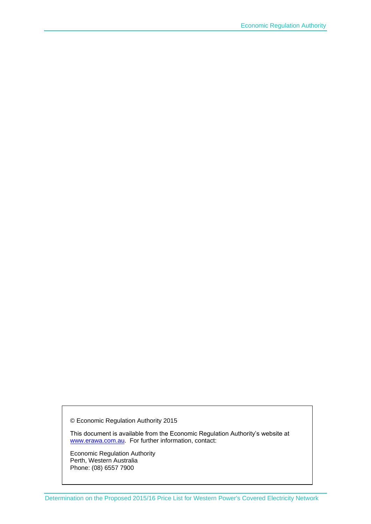© Economic Regulation Authority 2015

This document is available from the Economic Regulation Authority's website at [www.erawa.com.au.](http://www.erawa.com.au/) For further information, contact:

Economic Regulation Authority Perth, Western Australia Phone: (08) 6557 7900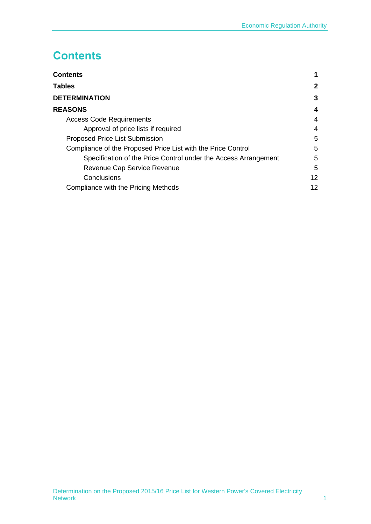## <span id="page-2-0"></span>**Contents**

| <b>Contents</b>                                                 |                       |
|-----------------------------------------------------------------|-----------------------|
| Tables                                                          | $\mathbf{2}^{\prime}$ |
| <b>DETERMINATION</b>                                            | 3                     |
| <b>REASONS</b>                                                  | 4                     |
| <b>Access Code Requirements</b>                                 | 4                     |
| Approval of price lists if required                             | 4                     |
| <b>Proposed Price List Submission</b>                           | 5                     |
| Compliance of the Proposed Price List with the Price Control    | 5                     |
| Specification of the Price Control under the Access Arrangement | 5                     |
| Revenue Cap Service Revenue                                     | 5                     |
| Conclusions                                                     | $12 \overline{ }$     |
| Compliance with the Pricing Methods                             | 12                    |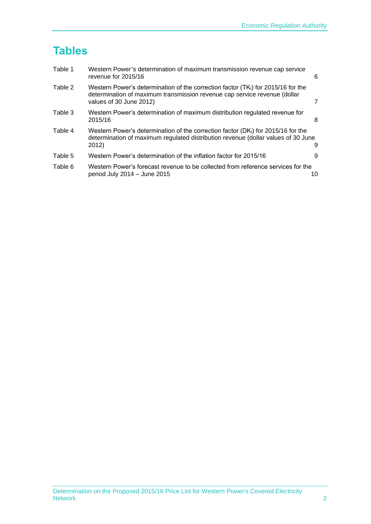## <span id="page-3-0"></span>**Tables**

| Table 1 | Western Power's determination of maximum transmission revenue cap service<br>revenue for 2015/16                                                                                            | 6  |
|---------|---------------------------------------------------------------------------------------------------------------------------------------------------------------------------------------------|----|
| Table 2 | Western Power's determination of the correction factor $(TK_t)$ for 2015/16 for the<br>determination of maximum transmission revenue cap service revenue (dollar<br>values of 30 June 2012) |    |
| Table 3 | Western Power's determination of maximum distribution regulated revenue for<br>2015/16                                                                                                      | 8  |
| Table 4 | Western Power's determination of the correction factor ( $DKt$ ) for 2015/16 for the<br>determination of maximum regulated distribution revenue (dollar values of 30 June<br>2012)          | 9  |
| Table 5 | Western Power's determination of the inflation factor for 2015/16                                                                                                                           |    |
| Table 6 | Western Power's forecast revenue to be collected from reference services for the<br>period July 2014 - June 2015                                                                            | 10 |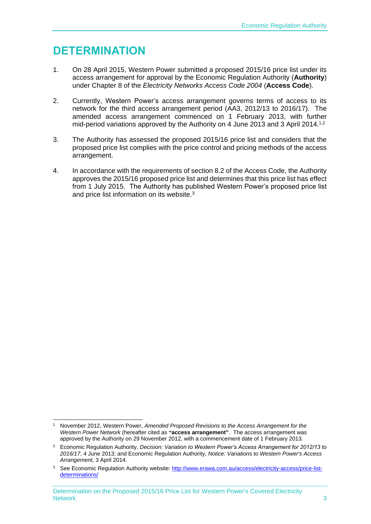## <span id="page-4-0"></span>**DETERMINATION**

- 1. On 28 April 2015, Western Power submitted a proposed 2015/16 price list under its access arrangement for approval by the Economic Regulation Authority (**Authority**) under Chapter 8 of the *Electricity Networks Access Code 2004* (**Access Code**).
- 2. Currently, Western Power's access arrangement governs terms of access to its network for the third access arrangement period (AA3, 2012/13 to 2016/17). The amended access arrangement commenced on 1 February 2013, with further mid-period variations approved by the Authority on 4 June 2013 and 3 April 2014.<sup>1,2</sup>
- 3. The Authority has assessed the proposed 2015/16 price list and considers that the proposed price list complies with the price control and pricing methods of the access arrangement.
- 4. In accordance with the requirements of section 8.2 of the Access Code, the Authority approves the 2015/16 proposed price list and determines that this price list has effect from 1 July 2015. The Authority has published Western Power's proposed price list and price list information on its website.<sup>3</sup>

<sup>-</sup><sup>1</sup> November 2012, Western Power, *Amended Proposed Revisions to the Access Arrangement for the Western Power Network* (hereafter cited as **"access arrangement"**. The access arrangement was approved by the Authority on 29 November 2012, with a commencement date of 1 February 2013.

<sup>2</sup> Economic Regulation Authority, *Decision: Variation to Western Power's Access Arrangement for 2012/13 to 2016/17*, 4 June 2013; and Economic Regulation Authority, *Notice: Variations to Western Power's Access Arrangement*, 3 April 2014.

<sup>&</sup>lt;sup>3</sup> See Economic Regulation Authority website: [http://www.erawa.com.au/access/electricity-access/price-list](http://www.erawa.com.au/access/electricity-access/price-list-determinations/)[determinations/](http://www.erawa.com.au/access/electricity-access/price-list-determinations/)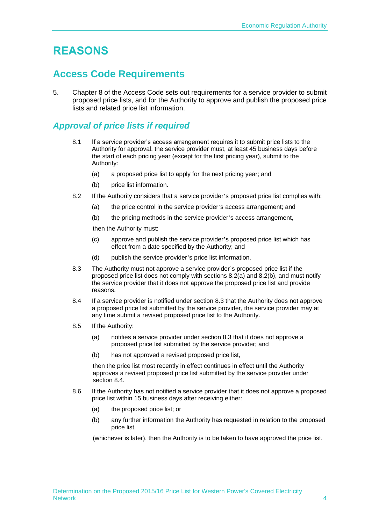## <span id="page-5-0"></span>**REASONS**

### <span id="page-5-1"></span>**Access Code Requirements**

5. Chapter 8 of the Access Code sets out requirements for a service provider to submit proposed price lists, and for the Authority to approve and publish the proposed price lists and related price list information.

### <span id="page-5-2"></span>*Approval of price lists if required*

- 8.1 If a service provider's access arrangement requires it to submit price lists to the Authority for approval, the service provider must, at least 45 business days before the start of each pricing year (except for the first pricing year), submit to the Authority:
	- (a) a proposed price list to apply for the next pricing year; and
	- (b) price list information.
- 8.2 If the Authority considers that a service provider's proposed price list complies with:
	- (a) the price control in the service provider's access arrangement; and
	- (b) the pricing methods in the service provider's access arrangement,

then the Authority must:

- (c) approve and publish the service provider's proposed price list which has effect from a date specified by the Authority; and
- (d) publish the service provider's price list information.
- 8.3 The Authority must not approve a service provider's proposed price list if the proposed price list does not comply with sections 8.2(a) and 8.2(b), and must notify the service provider that it does not approve the proposed price list and provide reasons.
- 8.4 If a service provider is notified under section 8.3 that the Authority does not approve a proposed price list submitted by the service provider, the service provider may at any time submit a revised proposed price list to the Authority.
- 8.5 If the Authority:
	- (a) notifies a service provider under section 8.3 that it does not approve a proposed price list submitted by the service provider; and
	- (b) has not approved a revised proposed price list,

then the price list most recently in effect continues in effect until the Authority approves a revised proposed price list submitted by the service provider under section 8.4.

- 8.6 If the Authority has not notified a service provider that it does not approve a proposed price list within 15 business days after receiving either:
	- (a) the proposed price list; or
	- (b) any further information the Authority has requested in relation to the proposed price list,

(whichever is later), then the Authority is to be taken to have approved the price list.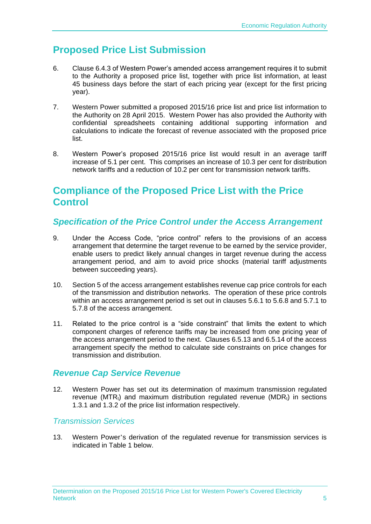## <span id="page-6-0"></span>**Proposed Price List Submission**

- 6. Clause 6.4.3 of Western Power's amended access arrangement requires it to submit to the Authority a proposed price list, together with price list information, at least 45 business days before the start of each pricing year (except for the first pricing year).
- 7. Western Power submitted a proposed 2015/16 price list and price list information to the Authority on 28 April 2015. Western Power has also provided the Authority with confidential spreadsheets containing additional supporting information and calculations to indicate the forecast of revenue associated with the proposed price list.
- 8. Western Power's proposed 2015/16 price list would result in an average tariff increase of 5.1 per cent. This comprises an increase of 10.3 per cent for distribution network tariffs and a reduction of 10.2 per cent for transmission network tariffs.

### <span id="page-6-1"></span>**Compliance of the Proposed Price List with the Price Control**

### <span id="page-6-2"></span>*Specification of the Price Control under the Access Arrangement*

- 9. Under the Access Code, "price control" refers to the provisions of an access arrangement that determine the target revenue to be earned by the service provider, enable users to predict likely annual changes in target revenue during the access arrangement period, and aim to avoid price shocks (material tariff adjustments between succeeding years).
- 10. Section 5 of the access arrangement establishes revenue cap price controls for each of the transmission and distribution networks. The operation of these price controls within an access arrangement period is set out in clauses 5.6.1 to 5.6.8 and 5.7.1 to 5.7.8 of the access arrangement.
- 11. Related to the price control is a "side constraint" that limits the extent to which component charges of reference tariffs may be increased from one pricing year of the access arrangement period to the next. Clauses 6.5.13 and 6.5.14 of the access arrangement specify the method to calculate side constraints on price changes for transmission and distribution.

### <span id="page-6-3"></span>*Revenue Cap Service Revenue*

12. Western Power has set out its determination of maximum transmission regulated revenue ( $MTR_t$ ) and maximum distribution regulated revenue ( $MDR_t$ ) in sections 1.3.1 and 1.3.2 of the price list information respectively.

#### *Transmission Services*

13. Western Power's derivation of the regulated revenue for transmission services is indicated in Table 1 below.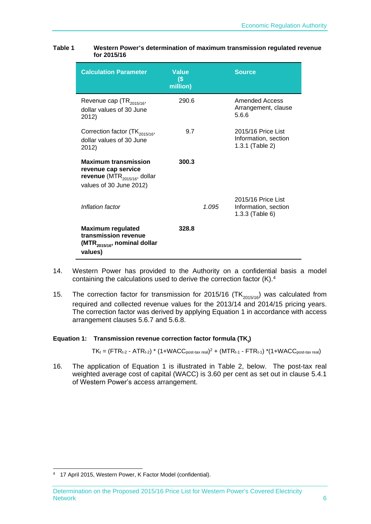| <b>Calculation Parameter</b>                                                                                        | <b>Value</b><br>$\left( \mathsf{\$} \right)$<br>million) |       | <b>Source</b>                                                 |
|---------------------------------------------------------------------------------------------------------------------|----------------------------------------------------------|-------|---------------------------------------------------------------|
| Revenue cap $(TR_{2015/16},$<br>dollar values of 30 June<br>2012)                                                   | 290.6                                                    |       | Amended Access<br>Arrangement, clause<br>5.6.6                |
| Correction factor $(TK_{2015/16},$<br>dollar values of 30 June<br>2012)                                             | 9.7                                                      |       | 2015/16 Price List<br>Information, section<br>1.3.1 (Table 2) |
| <b>Maximum transmission</b><br>revenue cap service<br>revenue (MTR $_{2015/16}$ , dollar<br>values of 30 June 2012) | 300.3                                                    |       |                                                               |
| Inflation factor                                                                                                    |                                                          | 1.095 | 2015/16 Price List<br>Information, section<br>1.3.3 (Table 6) |
| <b>Maximum regulated</b><br>transmission revenue<br>(MTR <sub>2015/16</sub> , nominal dollar<br>values)             | 328.8                                                    |       |                                                               |

#### <span id="page-7-0"></span>**Table 1 Western Power's determination of maximum transmission regulated revenue for 2015/16**

- 14. Western Power has provided to the Authority on a confidential basis a model containing the calculations used to derive the correction factor (K).<sup>4</sup>
- 15. The correction factor for transmission for 2015/16  $(TK_{2015/16})$  was calculated from required and collected revenue values for the 2013/14 and 2014/15 pricing years. The correction factor was derived by applying [Equation 1](#page-7-1) in accordance with access arrangement clauses 5.6.7 and 5.6.8.

<span id="page-7-1"></span>**Equation 1: Transmission revenue correction factor formula (TK<sub>t</sub>)** 

 $TK_t = (FTR_{t-2} - ATR_{t-2}) * (1+WACC_{post\text{-}tax\text{-}real})^2 + (MTR_{t-1} - FTR_{t-1}) * (1+WACC_{post\text{-}tax\text{-}real})$ 

16. The application of [Equation 1](#page-7-1) is illustrated in [Table 2,](#page-8-0) below. The post-tax real weighted average cost of capital (WACC) is 3.60 per cent as set out in clause 5.4.1 of Western Power's access arrangement.

<sup>1</sup> <sup>4</sup> 17 April 2015, Western Power, K Factor Model (confidential).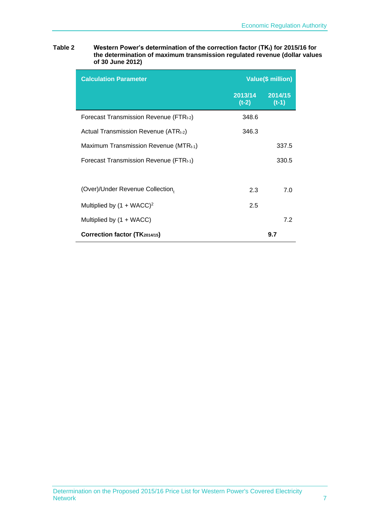<span id="page-8-0"></span>

| Table 2 | Western Power's determination of the correction factor (TKt) for 2015/16 for |
|---------|------------------------------------------------------------------------------|
|         | the determination of maximum transmission regulated revenue (dollar values   |
|         | of 30 June 2012)                                                             |

| <b>Calculation Parameter</b>                      | <b>Value(\$ million)</b> |                    |
|---------------------------------------------------|--------------------------|--------------------|
|                                                   | 2013/14<br>$(t-2)$       | 2014/15<br>$(t-1)$ |
| Forecast Transmission Revenue (FTRt-2)            | 348.6                    |                    |
| Actual Transmission Revenue (ATR <sub>t-2</sub> ) | 346.3                    |                    |
| Maximum Transmission Revenue (MTR $_{t-1}$ )      |                          | 337.5              |
| Forecast Transmission Revenue (FTR $t_{t-1}$ )    |                          | 330.5              |
|                                                   |                          |                    |
| (Over)/Under Revenue Collection,                  | 2.3                      | 7.0                |
| Multiplied by $(1 + WACC)^2$                      | 2.5                      |                    |
| Multiplied by $(1 + WACC)$                        |                          | 7.2                |
| Correction factor (TK2014/15)                     |                          | 9.7                |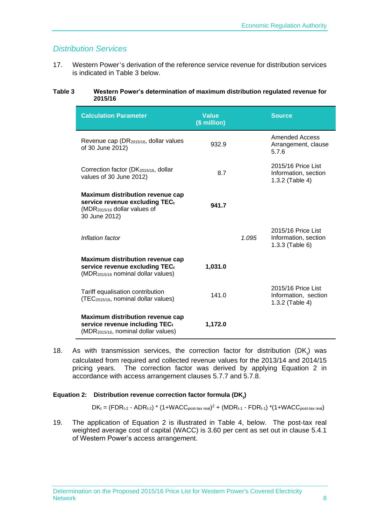#### *Distribution Services*

17. Western Power's derivation of the reference service revenue for distribution services is indicated in [Table 3](#page-9-0) below.

#### <span id="page-9-0"></span>**Table 3 Western Power's determination of maximum distribution regulated revenue for 2015/16**

| <b>Calculation Parameter</b>                                                                                                           | <b>Value</b><br>(\$ million) |       | <b>Source</b>                                                 |
|----------------------------------------------------------------------------------------------------------------------------------------|------------------------------|-------|---------------------------------------------------------------|
| Revenue cap (DR2015/16, dollar values<br>of 30 June 2012)                                                                              | 932.9                        |       | <b>Amended Access</b><br>Arrangement, clause<br>5.7.6         |
| Correction factor (DK2015/16, dollar<br>values of 30 June 2012)                                                                        | 8.7                          |       | 2015/16 Price List<br>Information, section<br>1.3.2 (Table 4) |
| <b>Maximum distribution revenue cap</b><br>service revenue excluding TECt<br>(MDR <sub>2015/16</sub> dollar values of<br>30 June 2012) | 941.7                        |       |                                                               |
| Inflation factor                                                                                                                       |                              | 1.095 | 2015/16 Price List<br>Information, section<br>1.3.3 (Table 6) |
| <b>Maximum distribution revenue cap</b><br>service revenue excluding TECt<br>(MDR <sub>2015/16</sub> nominal dollar values)            | 1,031.0                      |       |                                                               |
| Tariff equalisation contribution<br>(TEC <sub>2015/16</sub> , nominal dollar values)                                                   | 141.0                        |       | 2015/16 Price List<br>Information, section<br>1.3.2 (Table 4) |
| <b>Maximum distribution revenue cap</b><br>service revenue including TECt<br>(MDR <sub>2015/16</sub> , nominal dollar values)          | 1,172.0                      |       |                                                               |

18. As with transmission services, the correction factor for distribution  $(DK_t)$  was calculated from required and collected revenue values for the 2013/14 and 2014/15 pricing years. The correction factor was derived by applying [Equation 2](#page-9-1) in accordance with access arrangement clauses 5.7.7 and 5.7.8.

#### <span id="page-9-1"></span>**Equation 2:** Distribution revenue correction factor formula (DK<sub>t</sub>)

 $DK_t = (FDR_{t-2} - ADR_{t-2}) * (1+WACC_{post-tax\ real})^2 + (MDR_{t-1} - FDR_{t-1}) * (1+WACC_{post-tax\ real})$ 

19. The application of [Equation 2](#page-9-1) is illustrated in [Table 4,](#page-10-0) below. The post-tax real weighted average cost of capital (WACC) is 3.60 per cent as set out in clause 5.4.1 of Western Power's access arrangement.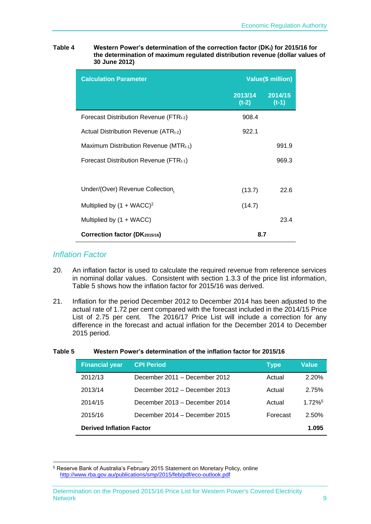<span id="page-10-0"></span>

| Table 4 | Western Power's determination of the correction factor (DK <sub>t</sub> ) for 2015/16 for |
|---------|-------------------------------------------------------------------------------------------|
|         | the determination of maximum regulated distribution revenue (dollar values of             |
|         | 30 June 2012)                                                                             |

| <b>Calculation Parameter</b>                       | Value(\$ million)          |         |
|----------------------------------------------------|----------------------------|---------|
|                                                    | 2013/14 2014/15<br>$(t-2)$ | $(t-1)$ |
| Forecast Distribution Revenue (FTRt-2)             | 908.4                      |         |
| Actual Distribution Revenue $(ATR_{t-2})$          | 922.1                      |         |
| Maximum Distribution Revenue (MTR <sub>t-1</sub> ) |                            | 991.9   |
| Forecast Distribution Revenue (FTR $_{t-1}$ )      |                            | 969.3   |
|                                                    |                            |         |
| Under/(Over) Revenue Collection,                   | (13.7)                     | 22.6    |
| Multiplied by $(1 + WACC)^2$                       | (14.7)                     |         |
| Multiplied by (1 + WACC)                           |                            | 23.4    |
| Correction factor (DK2015/16)                      | 8.7                        |         |

#### *Inflation Factor*

1

- 20. An inflation factor is used to calculate the required revenue from reference services in nominal dollar values. Consistent with section 1.3.3 of the price list information, [Table 5](#page-10-1) shows how the inflation factor for 2015/16 was derived.
- 21. Inflation for the period December 2012 to December 2014 has been adjusted to the actual rate of 1.72 per cent compared with the forecast included in the 2014/15 Price List of 2.75 per cent. The 2016/17 Price List will include a correction for any difference in the forecast and actual inflation for the December 2014 to December 2015 period.

| <b>Financial year</b>           | <b>CPI Period</b>             | <b>Type</b> | <b>Value</b>          |
|---------------------------------|-------------------------------|-------------|-----------------------|
| 2012/13                         | December 2011 – December 2012 | Actual      | 2.20%                 |
| 2013/14                         | December 2012 – December 2013 | Actual      | 2.75%                 |
| 2014/15                         | December 2013 – December 2014 | Actual      | $1.72\%$ <sup>5</sup> |
| 2015/16                         | December 2014 – December 2015 | Forecast    | 2.50%                 |
| <b>Derived Inflation Factor</b> |                               |             | 1.095                 |

#### <span id="page-10-1"></span>**Table 5 Western Power's determination of the inflation factor for 2015/16**

<sup>5</sup> Reserve Bank of Australia's February 2015 Statement on Monetary Policy, online <http://www.rba.gov.au/publications/smp/2015/feb/pdf/eco-outlook.pdf>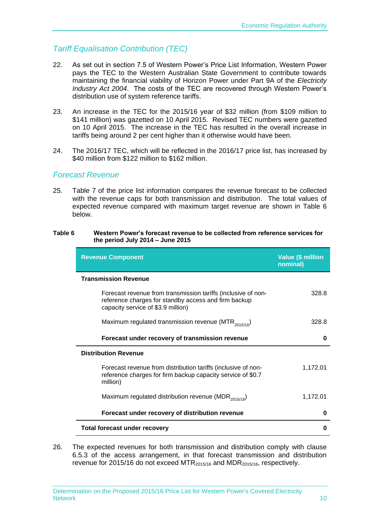#### *Tariff Equalisation Contribution (TEC)*

- 22. As set out in section 7.5 of Western Power's Price List Information, Western Power pays the TEC to the Western Australian State Government to contribute towards maintaining the financial viability of Horizon Power under Part 9A of the *Electricity Industry Act 2004*. The costs of the TEC are recovered through Western Power's distribution use of system reference tariffs.
- 23. An increase in the TEC for the 2015/16 year of \$32 million (from \$109 million to \$141 million) was gazetted on 10 April 2015. Revised TEC numbers were gazetted on 10 April 2015. The increase in the TEC has resulted in the overall increase in tariffs being around 2 per cent higher than it otherwise would have been.
- 24. The 2016/17 TEC, which will be reflected in the 2016/17 price list, has increased by \$40 million from \$122 million to \$162 million.

#### *Forecast Revenue*

25. Table 7 of the price list information compares the revenue forecast to be collected with the revenue caps for both transmission and distribution. The total values of expected revenue compared with maximum target revenue are shown in [Table 6](#page-11-0) below.

#### <span id="page-11-0"></span>**Table 6 Western Power's forecast revenue to be collected from reference services for the period July 2014 – June 2015**

| 328.8    |
|----------|
| 328.8    |
| 0        |
|          |
| 1,172.01 |
| 1,172.01 |
| 0        |
| 0        |
|          |

26. The expected revenues for both transmission and distribution comply with clause 6.5.3 of the access arrangement, in that forecast transmission and distribution revenue for 2015/16 do not exceed MTR $_{2015/16}$  and MDR $_{2015/16}$ , respectively.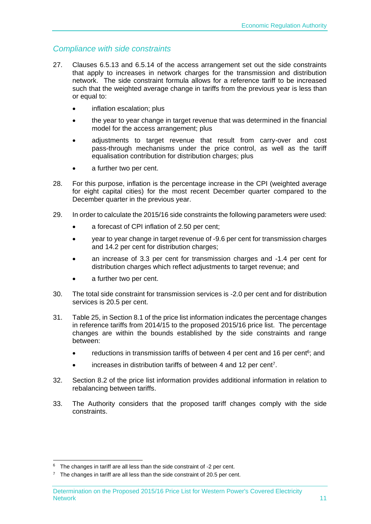#### *Compliance with side constraints*

- 27. Clauses 6.5.13 and 6.5.14 of the access arrangement set out the side constraints that apply to increases in network charges for the transmission and distribution network. The side constraint formula allows for a reference tariff to be increased such that the weighted average change in tariffs from the previous year is less than or equal to:
	- inflation escalation; plus
	- the year to year change in target revenue that was determined in the financial model for the access arrangement; plus
	- adjustments to target revenue that result from carry-over and cost pass-through mechanisms under the price control, as well as the tariff equalisation contribution for distribution charges; plus
	- a further two per cent.
- 28. For this purpose, inflation is the percentage increase in the CPI (weighted average for eight capital cities) for the most recent December quarter compared to the December quarter in the previous year.
- 29. In order to calculate the 2015/16 side constraints the following parameters were used:
	- a forecast of CPI inflation of 2.50 per cent;
	- year to year change in target revenue of -9.6 per cent for transmission charges and 14.2 per cent for distribution charges;
	- an increase of 3.3 per cent for transmission charges and -1.4 per cent for distribution charges which reflect adjustments to target revenue; and
	- a further two per cent.
- 30. The total side constraint for transmission services is -2.0 per cent and for distribution services is 20.5 per cent.
- 31. Table 25, in Section 8.1 of the price list information indicates the percentage changes in reference tariffs from 2014/15 to the proposed 2015/16 price list. The percentage changes are within the bounds established by the side constraints and range between:
	- reductions in transmission tariffs of between 4 per cent and 16 per cent<sup>6</sup>; and
	- increases in distribution tariffs of between 4 and 12 per cent<sup>7</sup>.
- 32. Section 8.2 of the price list information provides additional information in relation to rebalancing between tariffs.
- 33. The Authority considers that the proposed tariff changes comply with the side constraints.

<sup>1</sup>  $6$  The changes in tariff are all less than the side constraint of -2 per cent.

 $7$  The changes in tariff are all less than the side constraint of 20.5 per cent.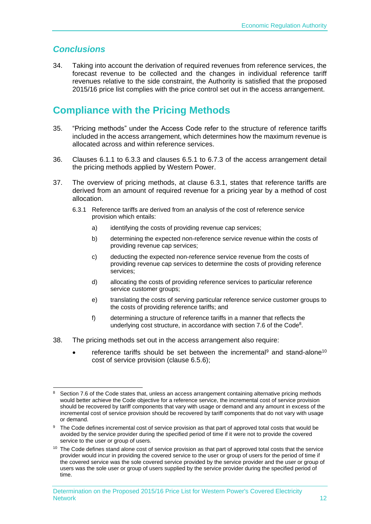### <span id="page-13-0"></span>*Conclusions*

34. Taking into account the derivation of required revenues from reference services, the forecast revenue to be collected and the changes in individual reference tariff revenues relative to the side constraint, the Authority is satisfied that the proposed 2015/16 price list complies with the price control set out in the access arrangement.

### <span id="page-13-1"></span>**Compliance with the Pricing Methods**

- 35. "Pricing methods" under the Access Code refer to the structure of reference tariffs included in the access arrangement, which determines how the maximum revenue is allocated across and within reference services.
- 36. Clauses 6.1.1 to 6.3.3 and clauses 6.5.1 to 6.7.3 of the access arrangement detail the pricing methods applied by Western Power.
- 37. The overview of pricing methods, at clause 6.3.1, states that reference tariffs are derived from an amount of required revenue for a pricing year by a method of cost allocation.
	- 6.3.1 Reference tariffs are derived from an analysis of the cost of reference service provision which entails:
		- a) identifying the costs of providing revenue cap services;
		- b) determining the expected non-reference service revenue within the costs of providing revenue cap services;
		- c) deducting the expected non-reference service revenue from the costs of providing revenue cap services to determine the costs of providing reference services;
		- d) allocating the costs of providing reference services to particular reference service customer groups;
		- e) translating the costs of serving particular reference service customer groups to the costs of providing reference tariffs; and
		- f) determining a structure of reference tariffs in a manner that reflects the underlying cost structure, in accordance with section 7.6 of the Code<sup>8</sup>.
- 38. The pricing methods set out in the access arrangement also require:
	- reference tariffs should be set between the incremental<sup>9</sup> and stand-alone<sup>10</sup> cost of service provision (clause 6.5.6);

<sup>-</sup><sup>8</sup> Section 7.6 of the Code states that, unless an access arrangement containing alternative pricing methods would better achieve the Code objective for a reference service, the incremental cost of service provision should be recovered by tariff components that vary with usage or demand and any amount in excess of the incremental cost of service provision should be recovered by tariff components that do not vary with usage or demand.

<sup>&</sup>lt;sup>9</sup> The Code defines incremental cost of service provision as that part of approved total costs that would be avoided by the service provider during the specified period of time if it were not to provide the covered service to the user or group of users.

 $10$  The Code defines stand alone cost of service provision as that part of approved total costs that the service provider would incur in providing the covered service to the user or group of users for the period of time if the covered service was the sole covered service provided by the service provider and the user or group of users was the sole user or group of users supplied by the service provider during the specified period of time.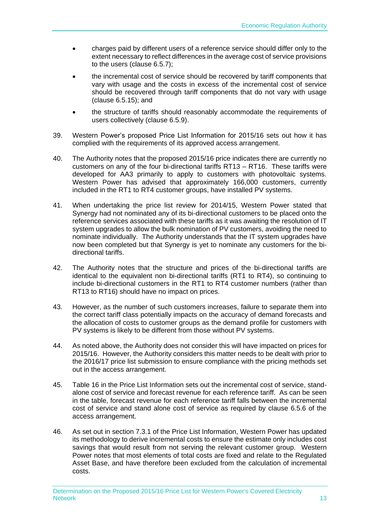- charges paid by different users of a reference service should differ only to the extent necessary to reflect differences in the average cost of service provisions to the users (clause 6.5.7);
- the incremental cost of service should be recovered by tariff components that vary with usage and the costs in excess of the incremental cost of service should be recovered through tariff components that do not vary with usage (clause 6.5.15); and
- the structure of tariffs should reasonably accommodate the requirements of users collectively (clause 6.5.9).
- 39. Western Power's proposed Price List Information for 2015/16 sets out how it has complied with the requirements of its approved access arrangement.
- 40. The Authority notes that the proposed 2015/16 price indicates there are currently no customers on any of the four bi-directional tariffs RT13 – RT16. These tariffs were developed for AA3 primarily to apply to customers with photovoltaic systems. Western Power has advised that approximately 166,000 customers, currently included in the RT1 to RT4 customer groups, have installed PV systems.
- 41. When undertaking the price list review for 2014/15, Western Power stated that Synergy had not nominated any of its bi-directional customers to be placed onto the reference services associated with these tariffs as it was awaiting the resolution of IT system upgrades to allow the bulk nomination of PV customers, avoiding the need to nominate individually. The Authority understands that the IT system upgrades have now been completed but that Synergy is yet to nominate any customers for the bidirectional tariffs.
- 42. The Authority notes that the structure and prices of the bi-directional tariffs are identical to the equivalent non bi-directional tariffs (RT1 to RT4), so continuing to include bi-directional customers in the RT1 to RT4 customer numbers (rather than RT13 to RT16) should have no impact on prices.
- 43. However, as the number of such customers increases, failure to separate them into the correct tariff class potentially impacts on the accuracy of demand forecasts and the allocation of costs to customer groups as the demand profile for customers with PV systems is likely to be different from those without PV systems.
- 44. As noted above, the Authority does not consider this will have impacted on prices for 2015/16. However, the Authority considers this matter needs to be dealt with prior to the 2016/17 price list submission to ensure compliance with the pricing methods set out in the access arrangement.
- 45. Table 16 in the Price List Information sets out the incremental cost of service, standalone cost of service and forecast revenue for each reference tariff. As can be seen in the table, forecast revenue for each reference tariff falls between the incremental cost of service and stand alone cost of service as required by clause 6.5.6 of the access arrangement.
- 46. As set out in section 7.3.1 of the Price List Information, Western Power has updated its methodology to derive incremental costs to ensure the estimate only includes cost savings that would result from not serving the relevant customer group. Western Power notes that most elements of total costs are fixed and relate to the Regulated Asset Base, and have therefore been excluded from the calculation of incremental costs.